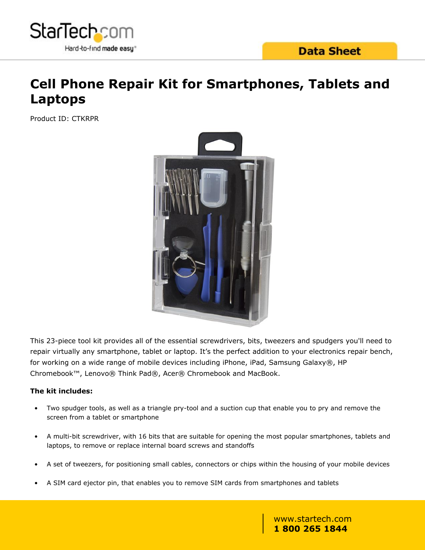

# **Cell Phone Repair Kit for Smartphones, Tablets and Laptops**

Product ID: CTKRPR



This 23-piece tool kit provides all of the essential screwdrivers, bits, tweezers and spudgers you'll need to repair virtually any smartphone, tablet or laptop. It's the perfect addition to your electronics repair bench, for working on a wide range of mobile devices including iPhone, iPad, Samsung Galaxy®, HP Chromebook™, Lenovo® Think Pad®, Acer® Chromebook and MacBook.

### **The kit includes:**

- Two spudger tools, as well as a triangle pry-tool and a suction cup that enable you to pry and remove the screen from a tablet or smartphone
- A multi-bit screwdriver, with 16 bits that are suitable for opening the most popular smartphones, tablets and laptops, to remove or replace internal board screws and standoffs
- A set of tweezers, for positioning small cables, connectors or chips within the housing of your mobile devices
- A SIM card ejector pin, that enables you to remove SIM cards from smartphones and tablets

www.startech.com **1 800 265 1844**

A convenient hard-shelled storage case, that provides a neat and tidiy storage solution for all of the included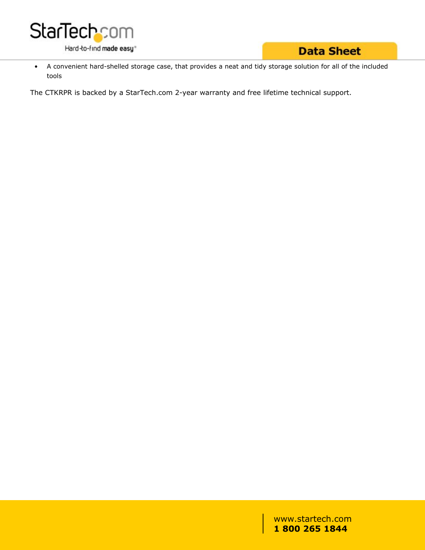

### **Data Sheet**

• A convenient hard-shelled storage case, that provides a neat and tidy storage solution for all of the included tools

The CTKRPR is backed by a StarTech.com 2-year warranty and free lifetime technical support.

www.startech.com **1 800 265 1844**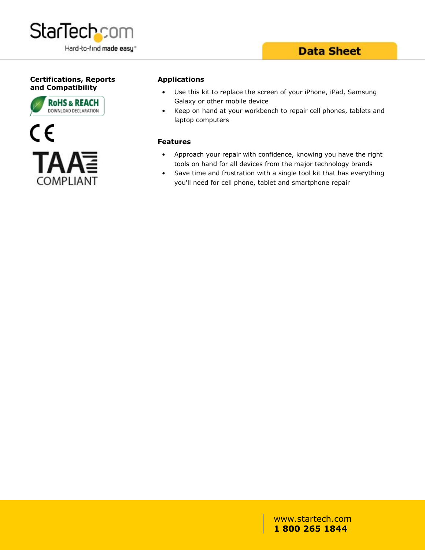

## **Data Sheet**

### **Certifications, Reports and Compatibility**





#### **Applications**

- Use this kit to replace the screen of your iPhone, iPad, Samsung Galaxy or other mobile device
- Keep on hand at your workbench to repair cell phones, tablets and laptop computers

#### **Features**

- Approach your repair with confidence, knowing you have the right tools on hand for all devices from the major technology brands
- Save time and frustration with a single tool kit that has everything you'll need for cell phone, tablet and smartphone repair